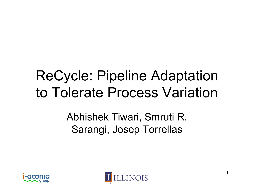# ReCycle: Pipeline Adaptation to Tolerate Process Variation

Abhishek Tiwari, Smruti R. Saran gi, Josep Torrellas



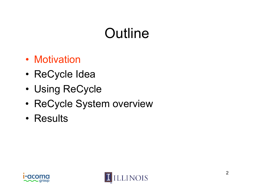# **Outline**

- Motivation
- •ReCycle Idea
- •• Using ReCycle
- •ReCycle System overview
- Results



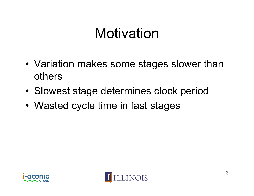## **Motivation**

- Variation makes some stages slower than others
- •Slowest stage determines clock period
- •Wasted cycle time in fast stages



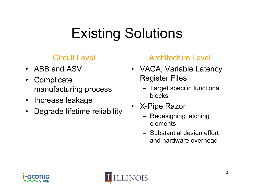# Existing Solutions

#### Circuit Level

- $\bullet$ ABB and ASV
- $\bullet$ **Complicate** manufacturing process
- Increase leakage
- Degrade lifetime reliability X-PIp  $\bullet$

#### Architecture Level

- VACA, Variable Latency Register Files
	- Target specific functional blocks
- • X-Pi pe,Razo r
	- Redesigning latching elements
	- Substantial design effort and hardware overhead



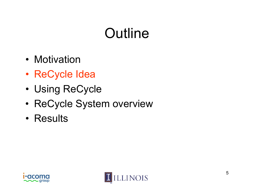# **Outline**

- Motivation
- •ReCycle Idea
- •• Using ReCycle
- •ReCycle System overview
- Results



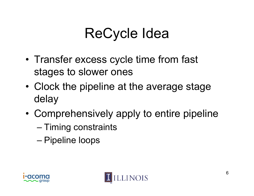# ReCycle Idea

- •• Transfer excess cycle time from fast stages to slower ones
- •• Clock the pipeline at the average stage delay
- •• Comprehensively apply to entire pipeline
	- Timing constraints
	- Pipeline loops



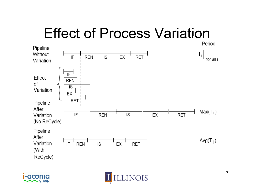# Effect of Process Variation





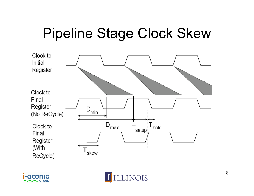# Pipeline Stage Clock Skew





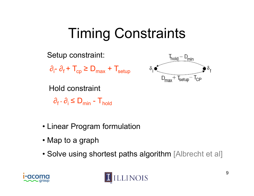# Timing Constraints



- Linear Program formulation
- Map to a graph
- Solve using shortest paths algorithm [Albrecht et al]



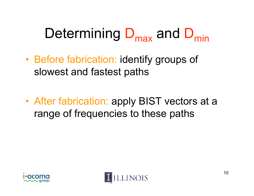# Determining D<sub>max</sub> and D<sub>min</sub>

- •• Before fabrication: identify groups of slowest and fastest paths
- • After fabrication: apply BIST vectors at a range of frequencies to these paths



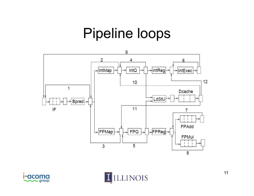#### Pipeline loops





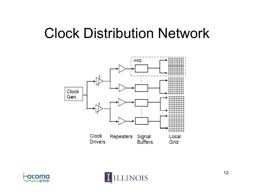## Clock Distribution Network





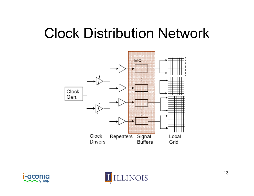## Clock Distribution Network





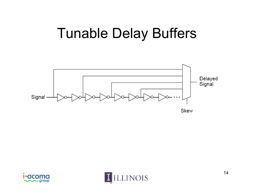### **Tunable Delay Buffers**





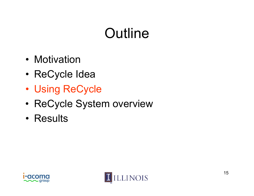# **Outline**

- Motivation
- •ReCycle Idea
- •• Using ReCycle
- •ReCycle System overview
- Results



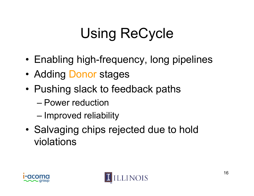# Using ReCycle

- Enabling high-frequency, long pipelines
- Adding Donor stages
- Pushing slack to feedback paths
	- Power reduction
	- Improved reliability
- $\bullet\,$  Salvaging chips rejected due to hold violations



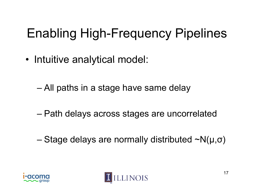## Enabling High-Frequency Pipelines

- Intuitive analytical model:
	- All paths in a stage have same delay
	- Path delays across stages are uncorrelated
	- Stage delays are normally distributed ~N(μ,σ)



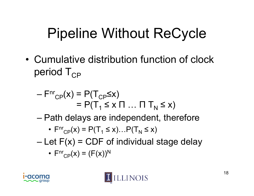# Pipeline Without ReCycle

• Cumulative distribution function of clock period  $T_{CP}$ 

$$
-\mathsf{F}^{\mathsf{nr}}_{\mathsf{CP}}(x) = \mathsf{P}(\mathsf{T}_{\mathsf{CP}} \leq x)
$$

$$
= \mathsf{P}(\mathsf{T}_1 \leq x \mathsf{T} \dots \mathsf{T} \mathsf{T}_N \leq x)
$$

Path delays are independent, therefore

• 
$$
F^{\text{nr}}_{\text{CP}}(x) = P(T_1 \leq x) \dots P(T_N \leq x)
$$

Let  $F(x)$  = CDF of individual stage delay

• 
$$
F^{\text{nr}}_{\text{CP}}(x) = (F(x))^N
$$



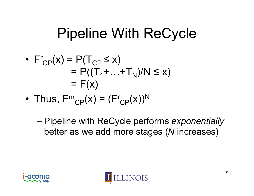# Pipeline With ReCycle

• 
$$
F^r_{CP}(x) = P(T_{CP} \le x)
$$
  
=  $P((T_1 + ... + T_N)/N \le x)$   
=  $F(x)$ 

•Thus,  $\mathsf{F}^{\mathsf{nr}}\mathsf{_{CP}}(\mathsf{x})$  = ( $\mathsf{F}^{\mathsf{r}}$  $_{\mathsf{CP}}(\mathsf{X}))^{\mathsf{N}}$ 

 Pipeline with ReCycle performs *exponentially*  better as we add more stages (*N* increases)



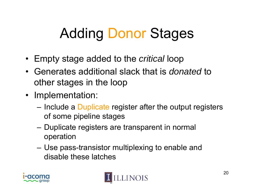# Adding Donor Stages

- Empty stage added to the *critical* loop
- Generates additional slack that is *donated* to other stages in the loop
- Implementation:
	- –– Include a Duplicate register after the output registers of some pipeline stages
	- Duplicate registers are transparent in normal operation
	- – Use pass-transistor multiplexing to enable and disable these latches



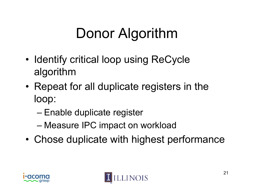# Donor Algorithm

- •• Identify critical loop using ReCycle algorithm
- •• Repeat for all duplicate registers in the loop:
	- Enable duplicate register
	- Measure IPC impact on workload
- •Chose duplicate with highest performance



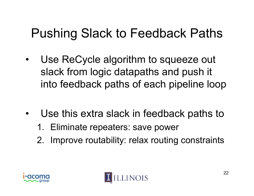#### Pushing Slack to Feedback Paths

- $\bullet$  Use ReCycle algorithm to squeeze out slack from logic datapaths and push it into feedback paths of each pipeline loop
- •• Use this extra slack in feedback paths to
	- 1. Eliminate repeaters: save power
	- 2. Improve routability: relax routing constraints



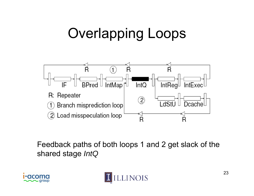# Overlapping Loops



Feedback paths of both loops 1 and 2 get slack of the shared stage *IntQ*



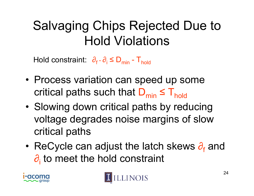#### Salvaging Chips Rejected Due to Hold Violations \_\_\_\_

Hold constraint:  $\left. \partial_{\rm f}$  -  $\partial_{\rm i}$  ≤  ${\sf D}_{\sf mi}$ d constraint:  $\partial_{\rm f}$  -  $\partial_{\rm i}$   $\leq$  D<sub>min</sub> - T<sub>hold</sub>

- Process variation can speed up some Process variation can speed up so<br>Process variation can speed up sometical paths such that  $D_{min} \leq T_{hold}$
- •• Slowing down critical paths by reducing voltage degrades noise margins of slow critical paths
- •ReCycle can adjust the latch skews  $\partial_f$  and  $\partial_{i}$  to meet the hold constraint



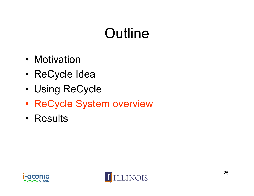# **Outline**

- Motivation
- •ReCycle Idea
- •• Using ReCycle
- •ReCycle System overview
- Results



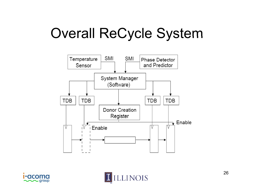# Overall ReCycle System





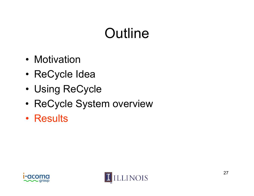# **Outline**

- Motivation
- •ReCycle Idea
- •• Using ReCycle
- •ReCycle System overview
- Results



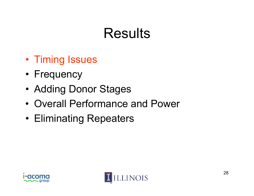## **Results**

- Timing Issues
- Frequency
- •• Adding Donor Stages
- Overall Performance and Power
- Eliminating Repeaters



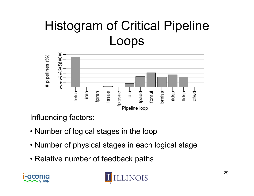### Histogram of Critical Pipeline Loops



Influencing factors:

- Number of logical stages in the loop
- Number of physical stages in each logical stage
- Relative number of feedback paths



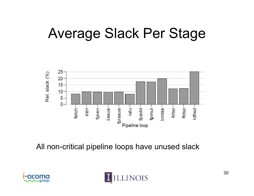## Average Slack Per Stage



All non-critical pipeline loops have unused slack



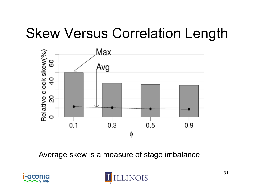# Skew Versus Correlation Length



Average skew is a measure of stage imbalance



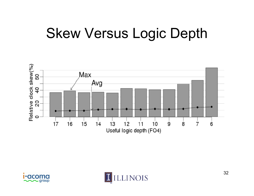## Skew Versus Logic Depth





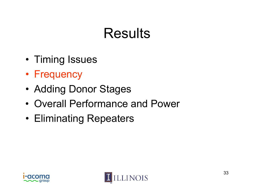## **Results**

- Timing Issues
- Frequency
- •• Adding Donor Stages
- Overall Performance and Power
- Eliminating Repeaters



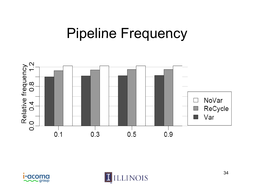#### Pipeline Frequency





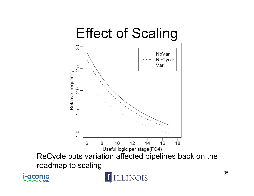

aroup

35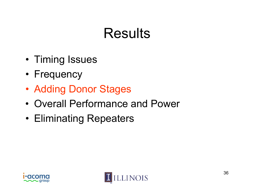## **Results**

- Timing Issues
- Frequency
- •• Adding Donor Stages
- Overall Performance and Power
- Eliminating Repeaters



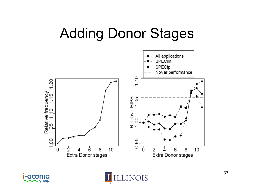## Adding Donor Stages





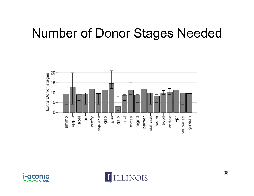#### **Number of Donor Stages Needed**





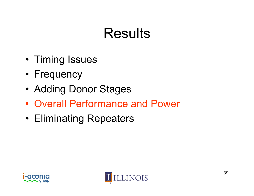## **Results**

- Timing Issues
- Frequency
- •• Adding Donor Stages
- Overall Performance and Power
- Eliminating Repeaters



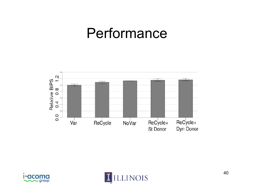#### Performance





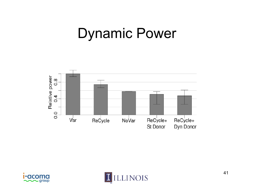#### Dynamic Power





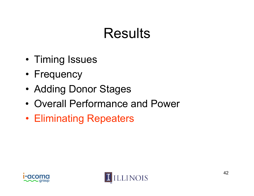## **Results**

- Timing Issues
- Frequency
- •• Adding Donor Stages
- Overall Performance and Power
- Eliminating Repeaters



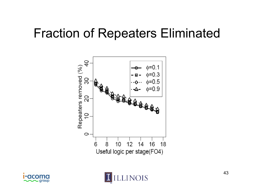#### Fraction of Repeaters Eliminated